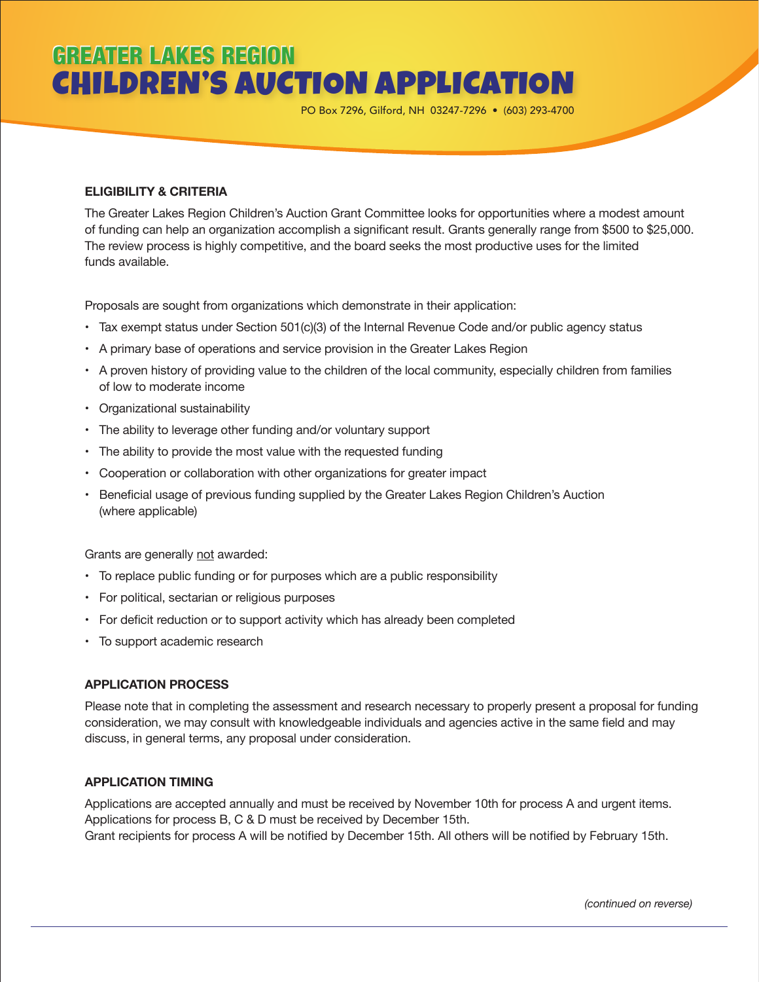## **GREATER LAKES REGION** CHILDREN'S AUCTION APPLICATION

PO Box 7296, Gilford, NH 03247-7296 • (603) 293-4700

### **ELIGIBILITY & CRITERIA**

The Greater Lakes Region Children's Auction Grant Committee looks for opportunities where a modest amount of funding can help an organization accomplish a significant result. Grants generally range from \$500 to \$25,000. The review process is highly competitive, and the board seeks the most productive uses for the limited funds available.

Proposals are sought from organizations which demonstrate in their application:

- Tax exempt status under Section 501(c)(3) of the Internal Revenue Code and/or public agency status
- A primary base of operations and service provision in the Greater Lakes Region
- A proven history of providing value to the children of the local community, especially children from families of low to moderate income
- Organizational sustainability
- The ability to leverage other funding and/or voluntary support
- The ability to provide the most value with the requested funding
- Cooperation or collaboration with other organizations for greater impact
- Beneficial usage of previous funding supplied by the Greater Lakes Region Children's Auction (where applicable)

Grants are generally not awarded:

- To replace public funding or for purposes which are a public responsibility
- For political, sectarian or religious purposes
- For deficit reduction or to support activity which has already been completed
- To support academic research

#### **APPLICATION PROCESS**

Please note that in completing the assessment and research necessary to properly present a proposal for funding consideration, we may consult with knowledgeable individuals and agencies active in the same field and may discuss, in general terms, any proposal under consideration.

#### **APPLICATION TIMING**

Applications are accepted annually and must be received by November 10th for process A and urgent items. Applications for process B, C & D must be received by December 15th. Grant recipients for process A will be notified by December 15th. All others will be notified by February 15th.

*(continued on reverse)*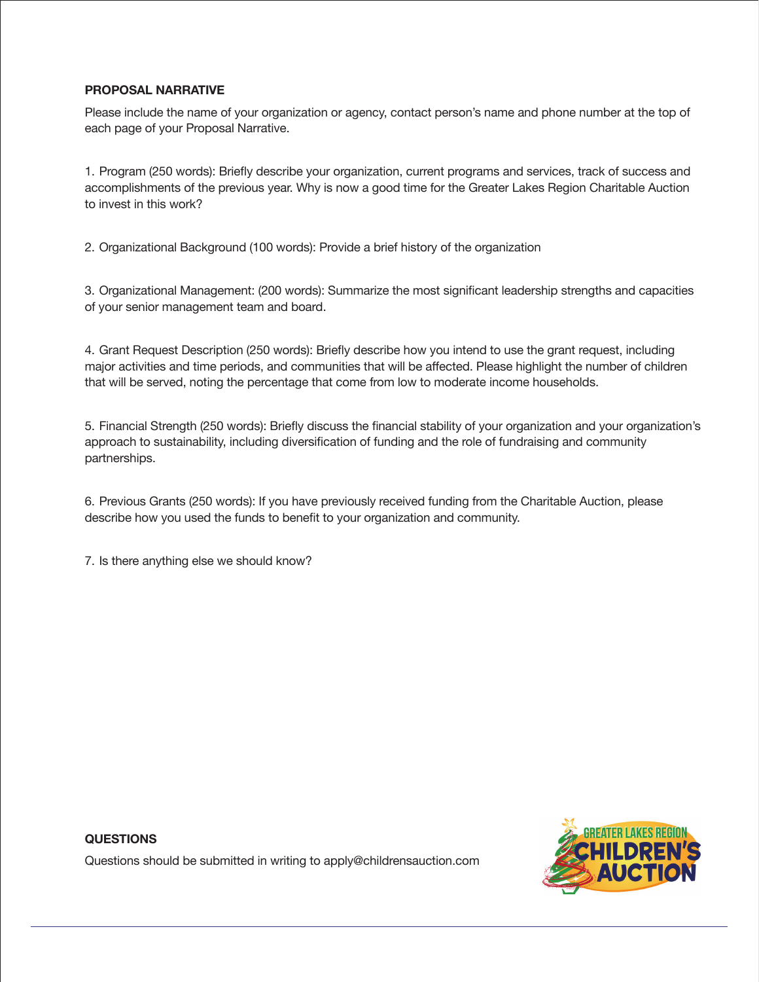### **PROPOSAL NARRATIVE**

Please include the name of your organization or agency, contact person's name and phone number at the top of each page of your Proposal Narrative.

1. Program (250 words): Briefly describe your organization, current programs and services, track of success and accomplishments of the previous year. Why is now a good time for the Greater Lakes Region Charitable Auction to invest in this work?

2. Organizational Background (100 words): Provide a brief history of the organization

3. Organizational Management: (200 words): Summarize the most significant leadership strengths and capacities of your senior management team and board.

4. Grant Request Description (250 words): Briefly describe how you intend to use the grant request, including major activities and time periods, and communities that will be affected. Please highlight the number of children that will be served, noting the percentage that come from low to moderate income households.

5. Financial Strength (250 words): Briefly discuss the financial stability of your organization and your organization's approach to sustainability, including diversification of funding and the role of fundraising and community partnerships.

6. Previous Grants (250 words): If you have previously received funding from the Charitable Auction, please describe how you used the funds to benefit to your organization and community.

7. Is there anything else we should know?

## **QUESTIONS**

Questions should be submitted in writing to apply@childrensauction.com